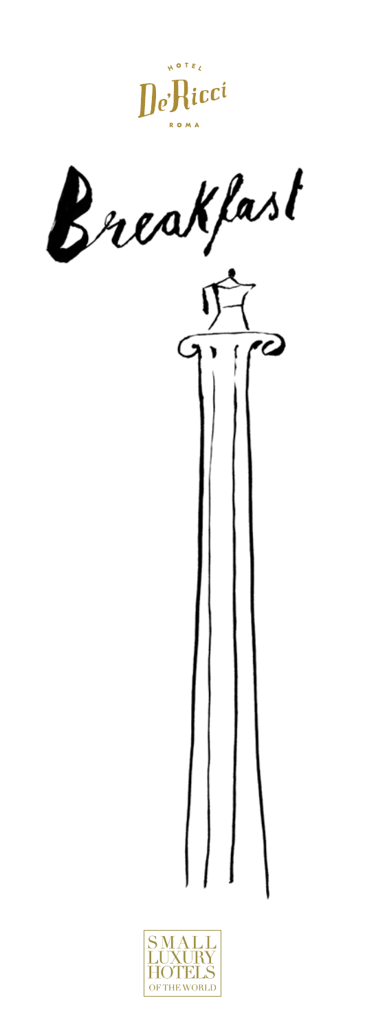



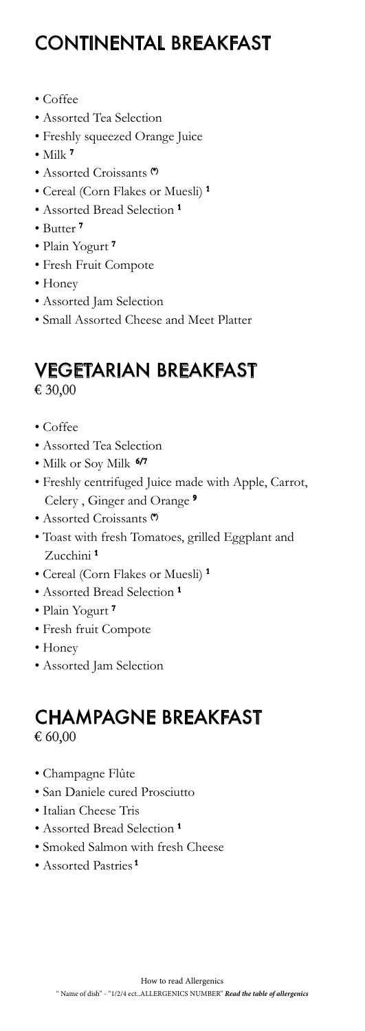## CONTINENTAL BREAKFAST

- Coffee
- Assorted Tea Selection
- Freshly squeezed Orange Juice
- Milk  $7$
- Assorted Croissants (\*)
- Cereal (Corn Flakes or Muesli) 1
- Assorted Bread Selection<sup>1</sup>
- Butter 7
- Plain Yogurt<sup>7</sup>
- Fresh Fruit Compote
- Honey
- Assorted Jam Selection
- Small Assorted Cheese and Meet Platter

#### VEGETARIAN BREAKFAST € 30,00

- Coffee
- Assorted Tea Selection
- Milk or Soy Milk 6/7
- Freshly centrifuged Juice made with Apple, Carrot, Celery , Ginger and Orange 9
- Assorted Croissants (\*)
- Toast with fresh Tomatoes, grilled Eggplant and Zucchini 1
- Cereal (Corn Flakes or Muesli) 1
- Assorted Bread Selection 1
- Plain Yogurt<sup>7</sup>
- Fresh fruit Compote
- Honey
- Assorted Jam Selection

#### CHAMPAGNE BREAKFAST € 60,00

- Champagne Flûte
- San Daniele cured Prosciutto
- Italian Cheese Tris
- Assorted Bread Selection<sup>1</sup>
- Smoked Salmon with fresh Cheese
- Assorted Pastries 1